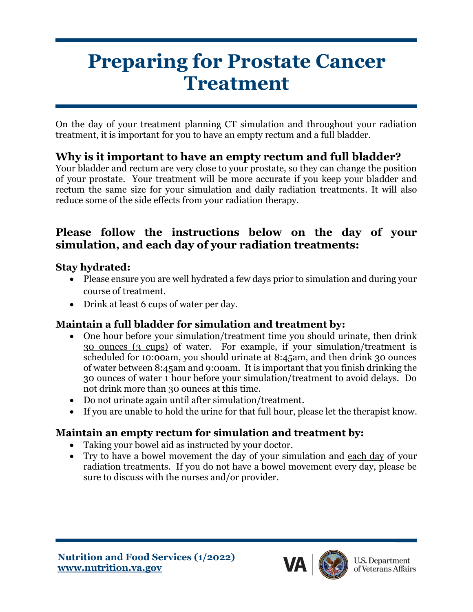# **Preparing for Prostate Cancer Treatment**

On the day of your treatment planning CT simulation and throughout your radiation treatment, it is important for you to have an empty rectum and a full bladder.

# **Why is it important to have an empty rectum and full bladder?**

Your bladder and rectum are very close to your prostate, so they can change the position of your prostate. Your treatment will be more accurate if you keep your bladder and rectum the same size for your simulation and daily radiation treatments. It will also reduce some of the side effects from your radiation therapy.

#### **Please follow the instructions below on the day of your simulation, and each day of your radiation treatments:**

#### **Stay hydrated:**

- Please ensure you are well hydrated a few days prior to simulation and during your course of treatment.
- Drink at least 6 cups of water per day.

## **Maintain a full bladder for simulation and treatment by:**

- One hour before your simulation/treatment time you should urinate, then drink 30 ounces (3 cups) of water. For example, if your simulation/treatment is scheduled for 10:00am, you should urinate at 8:45am, and then drink 30 ounces of water between 8:45am and 9:00am. It is important that you finish drinking the 30 ounces of water 1 hour before your simulation/treatment to avoid delays. Do not drink more than 30 ounces at this time.
- Do not urinate again until after simulation/treatment.
- If you are unable to hold the urine for that full hour, please let the therapist know.

## **Maintain an empty rectum for simulation and treatment by:**

- Taking your bowel aid as instructed by your doctor.
- Try to have a bowel movement the day of your simulation and each day of your radiation treatments. If you do not have a bowel movement every day, please be sure to discuss with the nurses and/or provider.